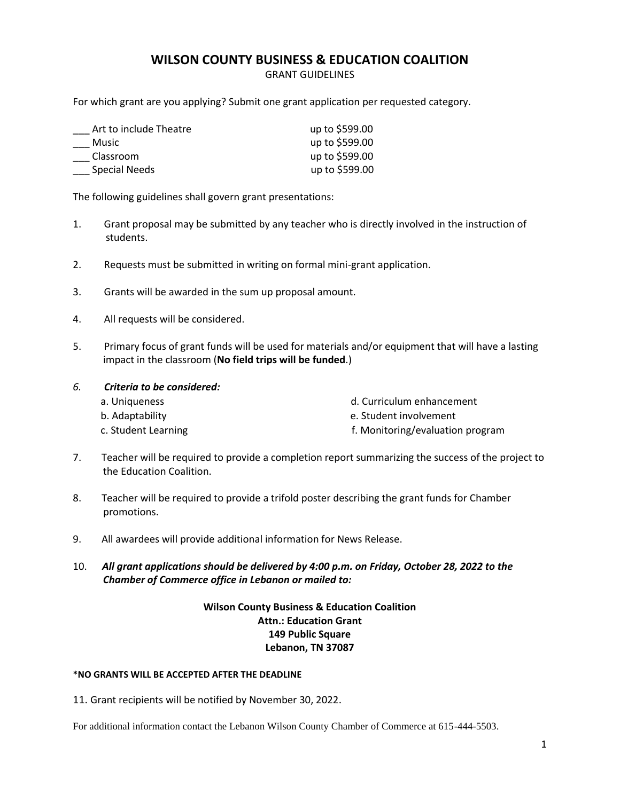#### **WILSON COUNTY BUSINESS & EDUCATION COALITION**

GRANT GUIDELINES

For which grant are you applying? Submit one grant application per requested category.

| Art to include Theatre | up to \$599.00 |
|------------------------|----------------|
| Music                  | up to \$599.00 |
| Classroom              | up to \$599.00 |
| Special Needs          | up to \$599.00 |

The following guidelines shall govern grant presentations:

- 1. Grant proposal may be submitted by any teacher who is directly involved in the instruction of students.
- 2. Requests must be submitted in writing on formal mini-grant application.
- 3. Grants will be awarded in the sum up proposal amount.
- 4. All requests will be considered.
- 5. Primary focus of grant funds will be used for materials and/or equipment that will have a lasting impact in the classroom (**No field trips will be funded**.)

#### *6. Criteria to be considered:*

- a. Uniqueness d. Curriculum enhancement
- b. Adaptability e. Student involvement
- 
- c. Student Learning **f. Monitoring/evaluation program**
- 7. Teacher will be required to provide a completion report summarizing the success of the project to the Education Coalition.
- 8. Teacher will be required to provide a trifold poster describing the grant funds for Chamber promotions.
- 9. All awardees will provide additional information for News Release.

10. *All grant applications should be delivered by 4:00 p.m. on Friday, October 28, 2022 to the Chamber of Commerce office in Lebanon or mailed to:* 

#### **Wilson County Business & Education Coalition Attn.: Education Grant 149 Public Square Lebanon, TN 37087**

#### **\*NO GRANTS WILL BE ACCEPTED AFTER THE DEADLINE**

11. Grant recipients will be notified by November 30, 2022.

For additional information contact the Lebanon Wilson County Chamber of Commerce at 615-444-5503.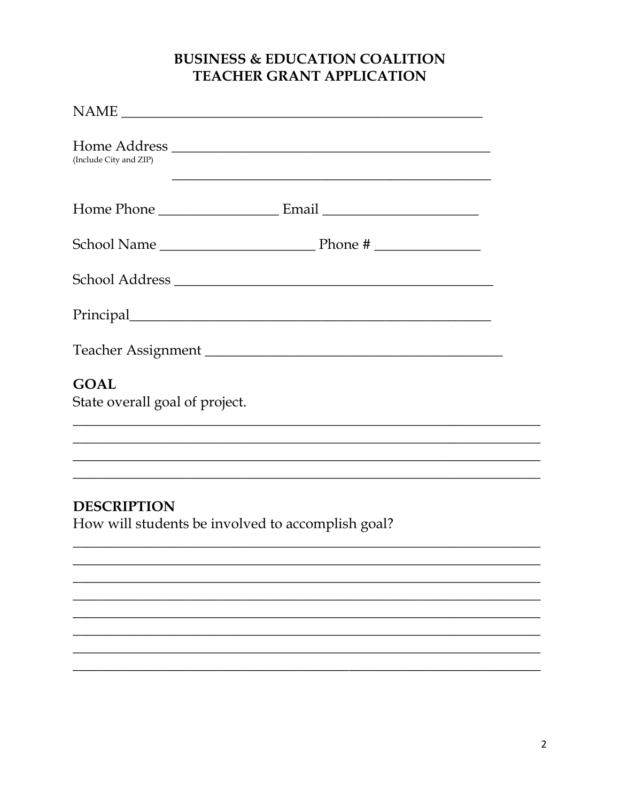## **BUSINESS & EDUCATION COALITION** TEACHER GRANT APPLICATION

| NAME                                                                    |
|-------------------------------------------------------------------------|
| (Include City and ZIP)                                                  |
|                                                                         |
|                                                                         |
|                                                                         |
|                                                                         |
|                                                                         |
| <b>GOAL</b><br>State overall goal of project.                           |
|                                                                         |
| <b>DESCRIPTION</b><br>How will students be involved to accomplish goal? |
|                                                                         |
|                                                                         |
|                                                                         |
|                                                                         |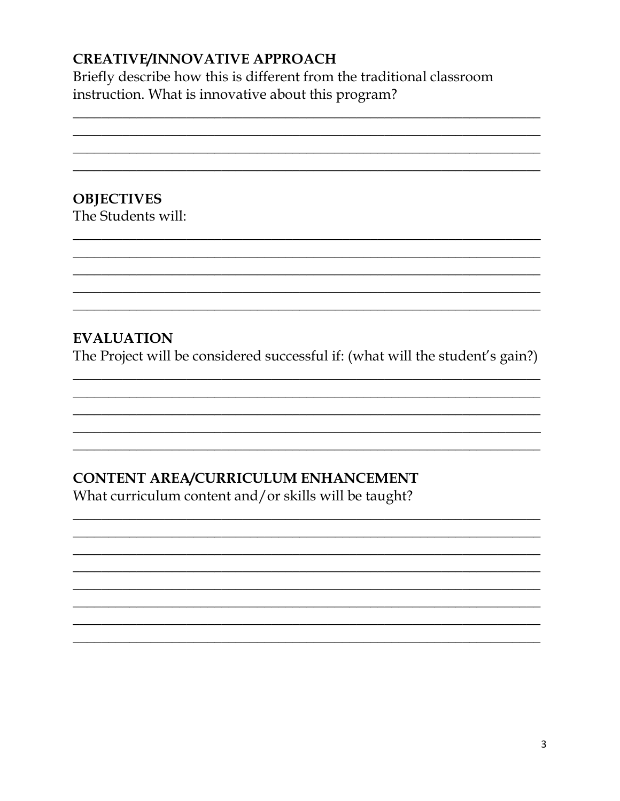# **CREATIVE/INNOVATIVE APPROACH**

Briefly describe how this is different from the traditional classroom instruction. What is innovative about this program?

**OBJECTIVES** The Students will:

# **EVALUATION**

The Project will be considered successful if: (what will the student's gain?)

# CONTENT AREA/CURRICULUM ENHANCEMENT

What curriculum content and/or skills will be taught?